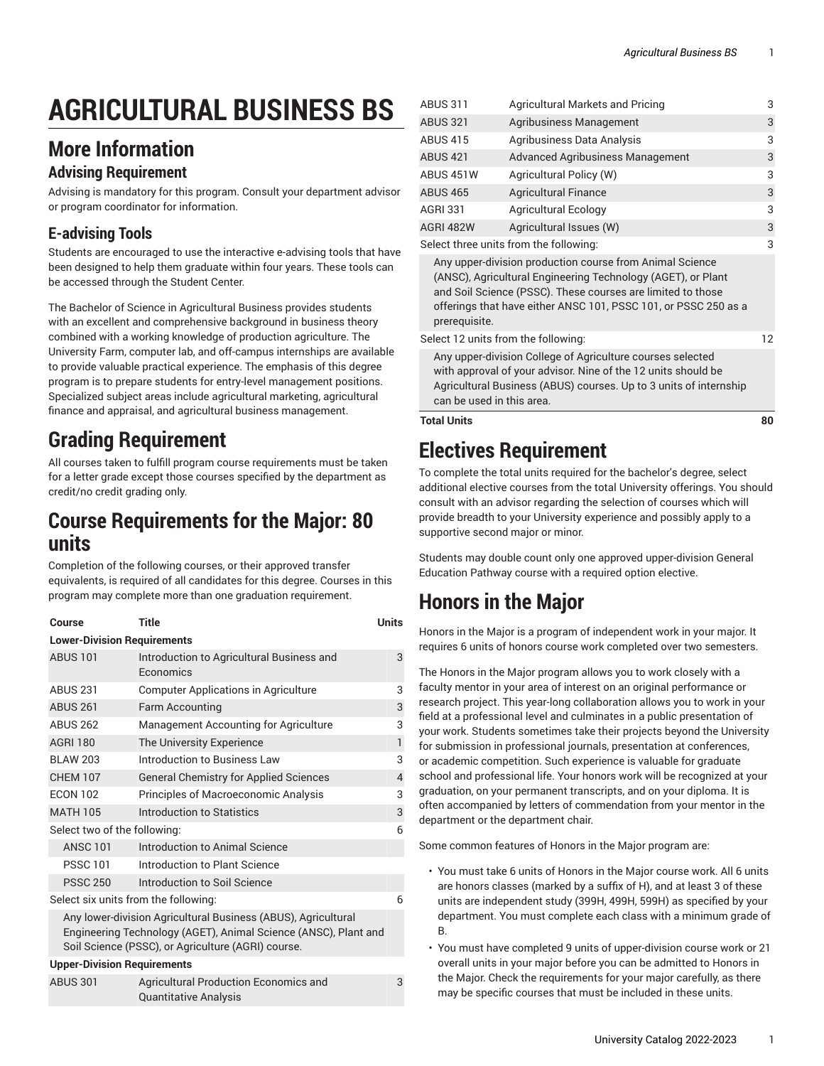# **AGRICULTURAL BUSINESS BS**

#### **More Information**

#### **Advising Requirement**

Advising is mandatory for this program. Consult your department advisor or program coordinator for information.

#### **E-advising Tools**

Students are encouraged to use the interactive e-advising tools that have been designed to help them graduate within four years. These tools can be accessed through the Student Center.

The Bachelor of Science in Agricultural Business provides students with an excellent and comprehensive background in business theory combined with a working knowledge of production agriculture. The University Farm, computer lab, and off-campus internships are available to provide valuable practical experience. The emphasis of this degree program is to prepare students for entry-level management positions. Specialized subject areas include agricultural marketing, agricultural finance and appraisal, and agricultural business management.

## **Grading Requirement**

All courses taken to fulfill program course requirements must be taken for a letter grade except those courses specified by the department as credit/no credit grading only.

#### **Course Requirements for the Major: 80 units**

Completion of the following courses, or their approved transfer equivalents, is required of all candidates for this degree. Courses in this program may complete more than one graduation requirement.

| Course                                                                                                                                                                                 | <b>Title</b>                                                                 | <b>Units</b>   |  |
|----------------------------------------------------------------------------------------------------------------------------------------------------------------------------------------|------------------------------------------------------------------------------|----------------|--|
| <b>Lower-Division Requirements</b>                                                                                                                                                     |                                                                              |                |  |
| <b>ABUS 101</b>                                                                                                                                                                        | Introduction to Agricultural Business and<br><b>Economics</b>                | 3              |  |
|                                                                                                                                                                                        |                                                                              |                |  |
| <b>ABUS 231</b>                                                                                                                                                                        | <b>Computer Applications in Agriculture</b>                                  | 3              |  |
| <b>ABUS 261</b>                                                                                                                                                                        | <b>Farm Accounting</b>                                                       | 3              |  |
| <b>ABUS 262</b>                                                                                                                                                                        | Management Accounting for Agriculture                                        | 3              |  |
| <b>AGRI 180</b>                                                                                                                                                                        | The University Experience                                                    | $\mathbf{1}$   |  |
| <b>BLAW 203</b>                                                                                                                                                                        | Introduction to Business Law                                                 | 3              |  |
| <b>CHEM 107</b>                                                                                                                                                                        | <b>General Chemistry for Applied Sciences</b>                                | $\overline{4}$ |  |
| <b>ECON 102</b>                                                                                                                                                                        | Principles of Macroeconomic Analysis                                         | 3              |  |
| <b>MATH 105</b>                                                                                                                                                                        | Introduction to Statistics                                                   | 3              |  |
| Select two of the following:                                                                                                                                                           |                                                                              |                |  |
| <b>ANSC 101</b>                                                                                                                                                                        | Introduction to Animal Science                                               |                |  |
| <b>PSSC 101</b>                                                                                                                                                                        | Introduction to Plant Science                                                |                |  |
| <b>PSSC 250</b>                                                                                                                                                                        | Introduction to Soil Science                                                 |                |  |
| Select six units from the following:                                                                                                                                                   |                                                                              |                |  |
| Any lower-division Agricultural Business (ABUS), Agricultural<br>Engineering Technology (AGET), Animal Science (ANSC), Plant and<br>Soil Science (PSSC), or Agriculture (AGRI) course. |                                                                              |                |  |
| <b>Upper-Division Requirements</b>                                                                                                                                                     |                                                                              |                |  |
| <b>ABUS 301</b>                                                                                                                                                                        | <b>Agricultural Production Economics and</b><br><b>Quantitative Analysis</b> | 3              |  |

| <b>Total Units</b>                                                                                                                                                                                                                                                          |                                         | 80 |
|-----------------------------------------------------------------------------------------------------------------------------------------------------------------------------------------------------------------------------------------------------------------------------|-----------------------------------------|----|
| Any upper-division College of Agriculture courses selected<br>with approval of your advisor. Nine of the 12 units should be<br>Agricultural Business (ABUS) courses. Up to 3 units of internship<br>can be used in this area.                                               |                                         |    |
| Select 12 units from the following:                                                                                                                                                                                                                                         |                                         | 12 |
| Any upper-division production course from Animal Science<br>(ANSC), Agricultural Engineering Technology (AGET), or Plant<br>and Soil Science (PSSC). These courses are limited to those<br>offerings that have either ANSC 101, PSSC 101, or PSSC 250 as a<br>prerequisite. |                                         |    |
| Select three units from the following:                                                                                                                                                                                                                                      |                                         | 3  |
| AGRI 482W                                                                                                                                                                                                                                                                   | Agricultural Issues (W)                 | 3  |
| <b>AGRI 331</b>                                                                                                                                                                                                                                                             | <b>Agricultural Ecology</b>             | 3  |
| <b>ABUS 465</b>                                                                                                                                                                                                                                                             | <b>Agricultural Finance</b>             | 3  |
| ABUS 451W                                                                                                                                                                                                                                                                   | Agricultural Policy (W)                 | 3  |
| <b>ABUS 421</b>                                                                                                                                                                                                                                                             | <b>Advanced Agribusiness Management</b> | 3  |
| <b>ABUS 415</b>                                                                                                                                                                                                                                                             | Agribusiness Data Analysis              | 3  |
| <b>ABUS 321</b>                                                                                                                                                                                                                                                             | Agribusiness Management                 | 3  |
| ABUS 311                                                                                                                                                                                                                                                                    | <b>Agricultural Markets and Pricing</b> | 3  |

## **Electives Requirement**

To complete the total units required for the bachelor's degree, select additional elective courses from the total University offerings. You should consult with an advisor regarding the selection of courses which will provide breadth to your University experience and possibly apply to a supportive second major or minor.

Students may double count only one approved upper-division General Education Pathway course with a required option elective.

## **Honors in the Major**

Honors in the Major is a program of independent work in your major. It requires 6 units of honors course work completed over two semesters.

The Honors in the Major program allows you to work closely with a faculty mentor in your area of interest on an original performance or research project. This year-long collaboration allows you to work in your field at a professional level and culminates in a public presentation of your work. Students sometimes take their projects beyond the University for submission in professional journals, presentation at conferences, or academic competition. Such experience is valuable for graduate school and professional life. Your honors work will be recognized at your graduation, on your permanent transcripts, and on your diploma. It is often accompanied by letters of commendation from your mentor in the department or the department chair.

Some common features of Honors in the Major program are:

- You must take 6 units of Honors in the Major course work. All 6 units are honors classes (marked by a suffix of H), and at least 3 of these units are independent study (399H, 499H, 599H) as specified by your department. You must complete each class with a minimum grade of B.
- You must have completed 9 units of upper-division course work or 21 overall units in your major before you can be admitted to Honors in the Major. Check the requirements for your major carefully, as there may be specific courses that must be included in these units.